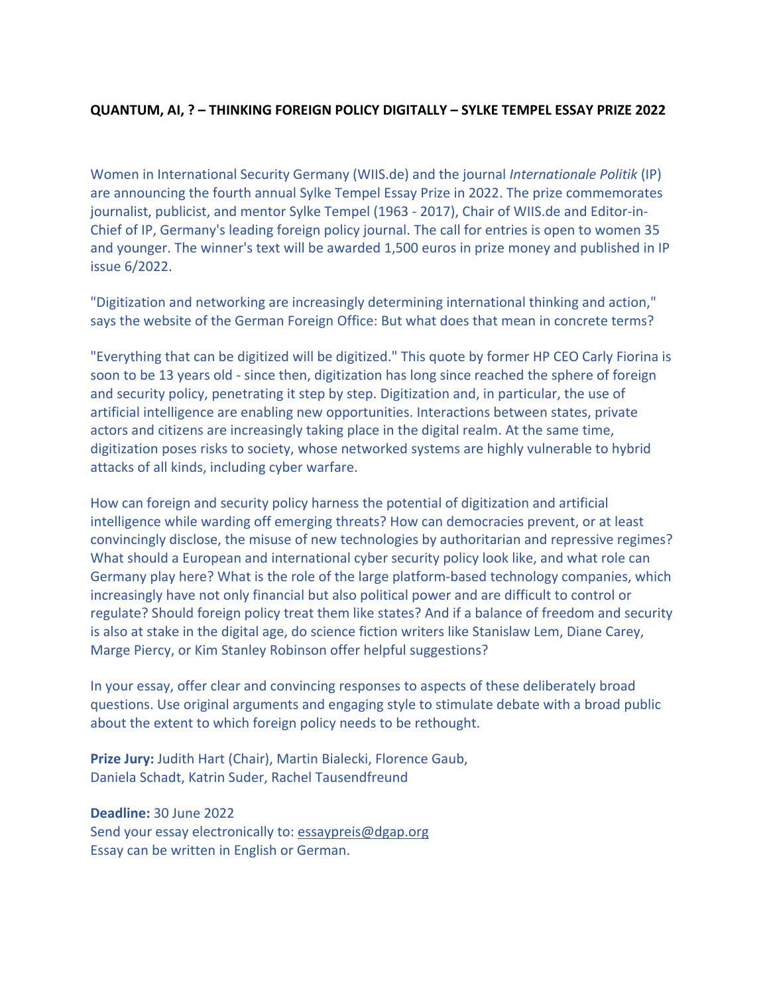## **QUANTUM, AI, ? – THINKING FOREIGN POLICY DIGITALLY – SYLKE TEMPEL ESSAY PRIZE 2022**

Women in International Security Germany (WIIS.de) and the journal *Internationale Politik* (IP) are announcing the fourth annual Sylke Tempel Essay Prize in 2022. The prize commemorates journalist, publicist, and mentor Sylke Tempel (1963 - 2017), Chair of WIIS.de and Editor-in-Chief of IP, Germany's leading foreign policy journal. The call for entries is open to women 35 and younger. The winner's text will be awarded 1,500 euros in prize money and published in IP issue 6/2022.

"Digitization and networking are increasingly determining international thinking and action," says the website of the German Foreign Office: But what does that mean in concrete terms?

"Everything that can be digitized will be digitized." This quote by former HP CEO Carly Fiorina is soon to be 13 years old - since then, digitization has long since reached the sphere of foreign and security policy, penetrating it step by step. Digitization and, in particular, the use of artificial intelligence are enabling new opportunities. Interactions between states, private actors and citizens are increasingly taking place in the digital realm. At the same time, digitization poses risks to society, whose networked systems are highly vulnerable to hybrid attacks of all kinds, including cyber warfare.

How can foreign and security policy harness the potential of digitization and artificial intelligence while warding off emerging threats? How can democracies prevent, or at least convincingly disclose, the misuse of new technologies by authoritarian and repressive regimes? What should a European and international cyber security policy look like, and what role can Germany play here? What is the role of the large platform-based technology companies, which increasingly have not only financial but also political power and are difficult to control or regulate? Should foreign policy treat them like states? And if a balance of freedom and security is also at stake in the digital age, do science fiction writers like Stanislaw Lem, Diane Carey, Marge Piercy, or Kim Stanley Robinson offer helpful suggestions?

In your essay, offer clear and convincing responses to aspects of these deliberately broad questions. Use original arguments and engaging style to stimulate debate with a broad public about the extent to which foreign policy needs to be rethought.

**Prize Jury:** Judith Hart (Chair), Martin Bialecki, Florence Gaub, Daniela Schadt, Katrin Suder, Rachel Tausendfreund

## **Deadline:** 30 June 2022

Send your essay electronically to: essaypreis@dgap.org Essay can be written in English or German.